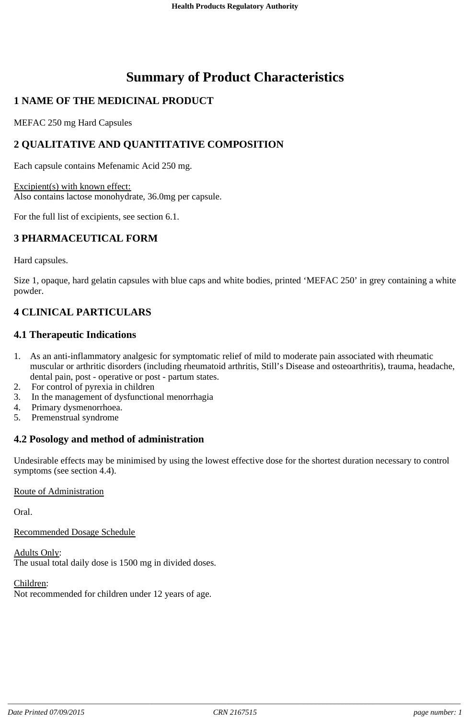# **Summary of Product Characteristics**

# **1 NAME OF THE MEDICINAL PRODUCT**

MEFAC 250 mg Hard Capsules

# **2 QUALITATIVE AND QUANTITATIVE COMPOSITION**

Each capsule contains Mefenamic Acid 250 mg.

Excipient(s) with known effect: Also contains lactose monohydrate, 36.0mg per capsule.

For the full list of excipients, see section 6.1.

# **3 PHARMACEUTICAL FORM**

Hard capsules.

Size 1, opaque, hard gelatin capsules with blue caps and white bodies, printed 'MEFAC 250' in grey containing a white powder.

# **4 CLINICAL PARTICULARS**

### **4.1 Therapeutic Indications**

- 1. As an anti-inflammatory analgesic for symptomatic relief of mild to moderate pain associated with rheumatic muscular or arthritic disorders (including rheumatoid arthritis, Still's Disease and osteoarthritis), trauma, headache, dental pain, post - operative or post - partum states.
- 2. For control of pyrexia in children
- 3. In the management of dysfunctional menorrhagia
- 4. Primary dysmenorrhoea.
- 5. Premenstrual syndrome

### **4.2 Posology and method of administration**

Undesirable effects may be minimised by using the lowest effective dose for the shortest duration necessary to control symptoms (see section 4.4).

### Route of Administration

Oral.

Recommended Dosage Schedule

Adults Only: The usual total daily dose is 1500 mg in divided doses.

Children:

Not recommended for children under 12 years of age.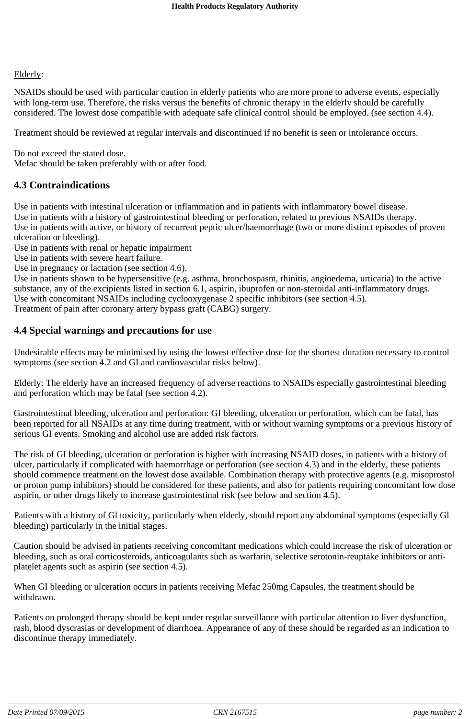#### Elderly:

NSAIDs should be used with particular caution in elderly patients who are more prone to adverse events, especially with long-term use. Therefore, the risks versus the benefits of chronic therapy in the elderly should be carefully considered. The lowest dose compatible with adequate safe clinical control should be employed. (see section 4.4).

Treatment should be reviewed at regular intervals and discontinued if no benefit is seen or intolerance occurs.

Do not exceed the stated dose. Mefac should be taken preferably with or after food.

# **4.3 Contraindications**

Use in patients with intestinal ulceration or inflammation and in patients with inflammatory bowel disease. Use in patients with a history of gastrointestinal bleeding or perforation, related to previous NSAIDs therapy. Use in patients with active, or history of recurrent peptic ulcer/haemorrhage (two or more distinct episodes of proven ulceration or bleeding).

Use in patients with renal or hepatic impairment

Use in patients with severe heart failure.

Use in pregnancy or lactation (see section 4.6).

Use in patients shown to be hypersensitive (e.g. asthma, bronchospasm, rhinitis, angioedema, urticaria) to the active substance, any of the excipients listed in section 6.1, aspirin, ibuprofen or non-steroidal anti-inflammatory drugs. Use with concomitant NSAIDs including cyclooxygenase 2 specific inhibitors (see section 4.5). Treatment of pain after coronary artery bypass graft (CABG) surgery.

### **4.4 Special warnings and precautions for use**

Undesirable effects may be minimised by using the lowest effective dose for the shortest duration necessary to control symptoms (see section 4.2 and GI and cardiovascular risks below).

Elderly: The elderly have an increased frequency of adverse reactions to NSAIDs especially gastrointestinal bleeding and perforation which may be fatal (see section 4.2).

Gastrointestinal bleeding, ulceration and perforation: GI bleeding, ulceration or perforation, which can be fatal, has been reported for all NSAIDs at any time during treatment, with or without warning symptoms or a previous history of serious GI events. Smoking and alcohol use are added risk factors.

The risk of GI bleeding, ulceration or perforation is higher with increasing NSAID doses, in patients with a history of ulcer, particularly if complicated with haemorrhage or perforation (see section 4.3) and in the elderly, these patients should commence treatment on the lowest dose available. Combination therapy with protective agents (e.g. misoprostol or proton pump inhibitors) should be considered for these patients, and also for patients requiring concomitant low dose aspirin, or other drugs likely to increase gastrointestinal risk (see below and section 4.5).

Patients with a history of Gl toxicity, particularly when elderly, should report any abdominal symptoms (especially Gl bleeding) particularly in the initial stages.

Caution should be advised in patients receiving concomitant medications which could increase the risk of ulceration or bleeding, such as oral corticosteroids, anticoagulants such as warfarin, selective serotonin-reuptake inhibitors or antiplatelet agents such as aspirin (see section 4.5).

When GI bleeding or ulceration occurs in patients receiving Mefac 250mg Capsules, the treatment should be withdrawn.

Patients on prolonged therapy should be kept under regular surveillance with particular attention to liver dysfunction, rash, blood dyscrasias or development of diarrhoea. Appearance of any of these should be regarded as an indication to discontinue therapy immediately.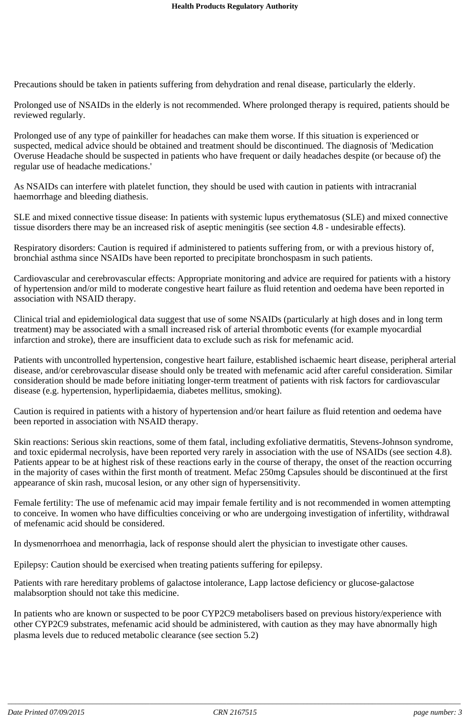Precautions should be taken in patients suffering from dehydration and renal disease, particularly the elderly.

Prolonged use of NSAIDs in the elderly is not recommended. Where prolonged therapy is required, patients should be reviewed regularly.

Prolonged use of any type of painkiller for headaches can make them worse. If this situation is experienced or suspected, medical advice should be obtained and treatment should be discontinued. The diagnosis of 'Medication Overuse Headache should be suspected in patients who have frequent or daily headaches despite (or because of) the regular use of headache medications.'

As NSAIDs can interfere with platelet function, they should be used with caution in patients with intracranial haemorrhage and bleeding diathesis.

SLE and mixed connective tissue disease: In patients with systemic lupus erythematosus (SLE) and mixed connective tissue disorders there may be an increased risk of aseptic meningitis (see section 4.8 - undesirable effects).

Respiratory disorders: Caution is required if administered to patients suffering from, or with a previous history of, bronchial asthma since NSAIDs have been reported to precipitate bronchospasm in such patients.

Cardiovascular and cerebrovascular effects: Appropriate monitoring and advice are required for patients with a history of hypertension and/or mild to moderate congestive heart failure as fluid retention and oedema have been reported in association with NSAID therapy.

Clinical trial and epidemiological data suggest that use of some NSAIDs (particularly at high doses and in long term treatment) may be associated with a small increased risk of arterial thrombotic events (for example myocardial infarction and stroke), there are insufficient data to exclude such as risk for mefenamic acid.

Patients with uncontrolled hypertension, congestive heart failure, established ischaemic heart disease, peripheral arterial disease, and/or cerebrovascular disease should only be treated with mefenamic acid after careful consideration. Similar consideration should be made before initiating longer-term treatment of patients with risk factors for cardiovascular disease (e.g. hypertension, hyperlipidaemia, diabetes mellitus, smoking).

Caution is required in patients with a history of hypertension and/or heart failure as fluid retention and oedema have been reported in association with NSAID therapy.

Skin reactions: Serious skin reactions, some of them fatal, including exfoliative dermatitis, Stevens-Johnson syndrome, and toxic epidermal necrolysis, have been reported very rarely in association with the use of NSAIDs (see section 4.8). Patients appear to be at highest risk of these reactions early in the course of therapy, the onset of the reaction occurring in the majority of cases within the first month of treatment. Mefac 250mg Capsules should be discontinued at the first appearance of skin rash, mucosal lesion, or any other sign of hypersensitivity.

Female fertility: The use of mefenamic acid may impair female fertility and is not recommended in women attempting to conceive. In women who have difficulties conceiving or who are undergoing investigation of infertility, withdrawal of mefenamic acid should be considered.

In dysmenorrhoea and menorrhagia, lack of response should alert the physician to investigate other causes.

Epilepsy: Caution should be exercised when treating patients suffering for epilepsy.

Patients with rare hereditary problems of galactose intolerance, Lapp lactose deficiency or glucose-galactose malabsorption should not take this medicine.

In patients who are known or suspected to be poor CYP2C9 metabolisers based on previous history/experience with other CYP2C9 substrates, mefenamic acid should be administered, with caution as they may have abnormally high plasma levels due to reduced metabolic clearance (see section 5.2)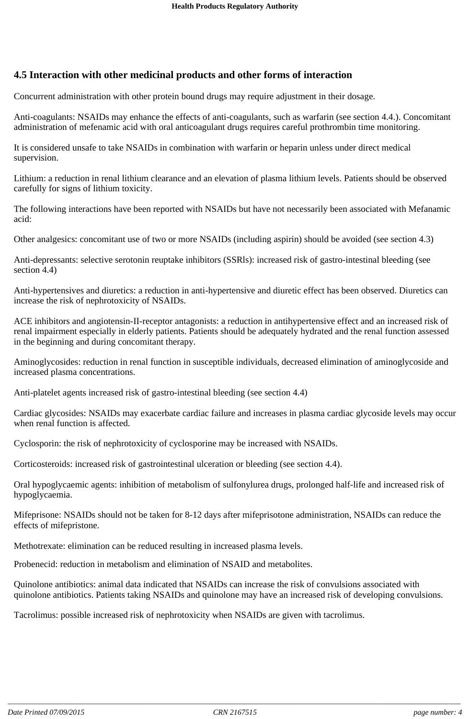# **4.5 Interaction with other medicinal products and other forms of interaction**

Concurrent administration with other protein bound drugs may require adjustment in their dosage.

Anti-coagulants: NSAIDs may enhance the effects of anti-coagulants, such as warfarin (see section 4.4.). Concomitant administration of mefenamic acid with oral anticoagulant drugs requires careful prothrombin time monitoring.

It is considered unsafe to take NSAIDs in combination with warfarin or heparin unless under direct medical supervision.

Lithium: a reduction in renal lithium clearance and an elevation of plasma lithium levels. Patients should be observed carefully for signs of lithium toxicity.

The following interactions have been reported with NSAIDs but have not necessarily been associated with Mefanamic acid:

Other analgesics: concomitant use of two or more NSAIDs (including aspirin) should be avoided (see section 4.3)

Anti-depressants: selective serotonin reuptake inhibitors (SSRls): increased risk of gastro-intestinal bleeding (see section 4.4)

Anti-hypertensives and diuretics: a reduction in anti-hypertensive and diuretic effect has been observed. Diuretics can increase the risk of nephrotoxicity of NSAIDs.

ACE inhibitors and angiotensin-II-receptor antagonists: a reduction in antihypertensive effect and an increased risk of renal impairment especially in elderly patients. Patients should be adequately hydrated and the renal function assessed in the beginning and during concomitant therapy.

Aminoglycosides: reduction in renal function in susceptible individuals, decreased elimination of aminoglycoside and increased plasma concentrations.

Anti-platelet agents increased risk of gastro-intestinal bleeding (see section 4.4)

Cardiac glycosides: NSAIDs may exacerbate cardiac failure and increases in plasma cardiac glycoside levels may occur when renal function is affected.

Cyclosporin: the risk of nephrotoxicity of cyclosporine may be increased with NSAIDs.

Corticosteroids: increased risk of gastrointestinal ulceration or bleeding (see section 4.4).

Oral hypoglycaemic agents: inhibition of metabolism of sulfonylurea drugs, prolonged half-life and increased risk of hypoglycaemia.

Mifeprisone: NSAIDs should not be taken for 8-12 days after mifeprisotone administration, NSAIDs can reduce the effects of mifepristone.

Methotrexate: elimination can be reduced resulting in increased plasma levels.

Probenecid: reduction in metabolism and elimination of NSAID and metabolites.

Quinolone antibiotics: animal data indicated that NSAIDs can increase the risk of convulsions associated with quinolone antibiotics. Patients taking NSAIDs and quinolone may have an increased risk of developing convulsions.

Tacrolimus: possible increased risk of nephrotoxicity when NSAIDs are given with tacrolimus.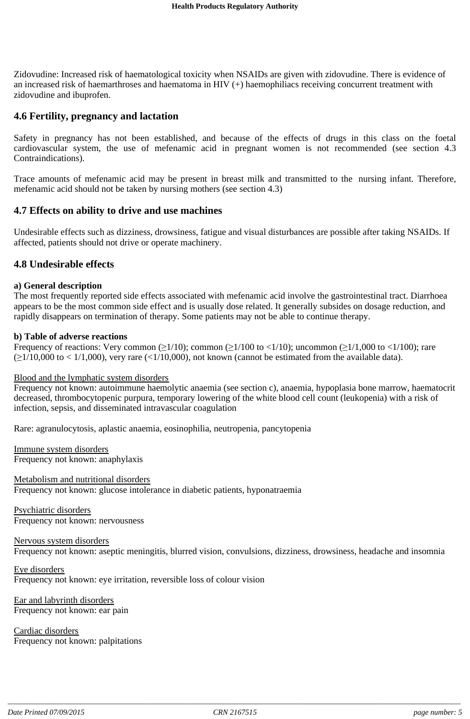Zidovudine: Increased risk of haematological toxicity when NSAIDs are given with zidovudine. There is evidence of an increased risk of haemarthroses and haematoma in HIV (+) haemophiliacs receiving concurrent treatment with zidovudine and ibuprofen.

### **4.6 Fertility, pregnancy and lactation**

Safety in pregnancy has not been established, and because of the effects of drugs in this class on the foetal cardiovascular system, the use of mefenamic acid in pregnant women is not recommended (see section 4.3 Contraindications).

Trace amounts of mefenamic acid may be present in breast milk and transmitted to the nursing infant. Therefore, mefenamic acid should not be taken by nursing mothers (see section 4.3)

### **4.7 Effects on ability to drive and use machines**

Undesirable effects such as dizziness, drowsiness, fatigue and visual disturbances are possible after taking NSAIDs. If affected, patients should not drive or operate machinery.

### **4.8 Undesirable effects**

#### **a) General description**

The most frequently reported side effects associated with mefenamic acid involve the gastrointestinal tract. Diarrhoea appears to be the most common side effect and is usually dose related. It generally subsides on dosage reduction, and rapidly disappears on termination of therapy. Some patients may not be able to continue therapy.

#### **b) Table of adverse reactions**

Frequency of reactions: Very common  $(\geq 1/10)$ ; common  $(\geq 1/100$  to <1/10); uncommon  $(\geq 1/1,000$  to <1/100); rare  $\geq 1/10,000$  to < 1/1,000), very rare (<1/10,000), not known (cannot be estimated from the available data).

#### Blood and the lymphatic system disorders

Frequency not known: autoimmune haemolytic anaemia (see section c), anaemia, hypoplasia bone marrow, haematocrit decreased, thrombocytopenic purpura, temporary lowering of the white blood cell count (leukopenia) with a risk of infection, sepsis, and disseminated intravascular coagulation

Rare: agranulocytosis, aplastic anaemia, eosinophilia, neutropenia, pancytopenia

Immune system disorders Frequency not known: anaphylaxis

Metabolism and nutritional disorders Frequency not known: glucose intolerance in diabetic patients, hyponatraemia

Psychiatric disorders Frequency not known: nervousness

Nervous system disorders

Frequency not known: aseptic meningitis, blurred vision, convulsions, dizziness, drowsiness, headache and insomnia

Eye disorders

Frequency not known: eye irritation, reversible loss of colour vision

Ear and labyrinth disorders Frequency not known: ear pain

Cardiac disorders Frequency not known: palpitations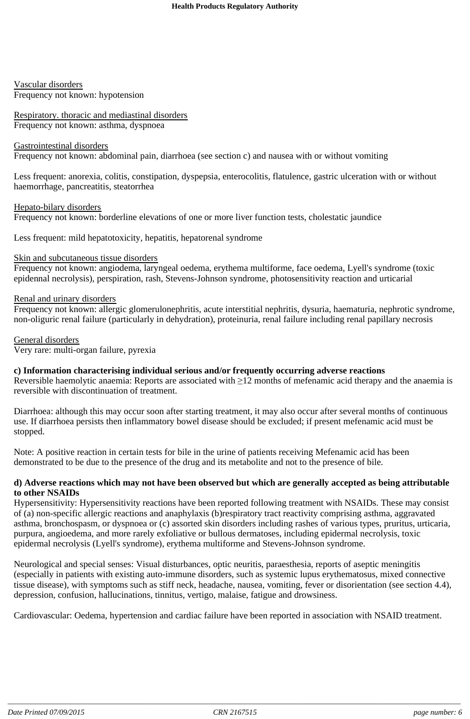Vascular disorders Frequency not known: hypotension

Respiratory. thoracic and mediastinal disorders Frequency not known: asthma, dyspnoea

#### Gastrointestinal disorders

Frequency not known: abdominal pain, diarrhoea (see section c) and nausea with or without vomiting

Less frequent: anorexia, colitis, constipation, dyspepsia, enterocolitis, flatulence, gastric ulceration with or without haemorrhage, pancreatitis, steatorrhea

Hepato-bilary disorders Frequency not known: borderline elevations of one or more liver function tests, cholestatic jaundice

Less frequent: mild hepatotoxicity, hepatitis, hepatorenal syndrome

### Skin and subcutaneous tissue disorders

Frequency not known: angiodema, laryngeal oedema, erythema multiforme, face oedema, Lyell's syndrome (toxic epidennal necrolysis), perspiration, rash, Stevens-Johnson syndrome, photosensitivity reaction and urticarial

#### Renal and urinary disorders

Frequency not known: allergic glomerulonephritis, acute interstitial nephritis, dysuria, haematuria, nephrotic syndrome, non-oliguric renal failure (particularly in dehydration), proteinuria, renal failure including renal papillary necrosis

General disorders Very rare: multi-organ failure, pyrexia

### **c) Information characterising individual serious and/or frequently occurring adverse reactions**

Reversible haemolytic anaemia: Reports are associated with  $\geq 12$  months of mefenamic acid therapy and the anaemia is reversible with discontinuation of treatment.

Diarrhoea: although this may occur soon after starting treatment, it may also occur after several months of continuous use. If diarrhoea persists then inflammatory bowel disease should be excluded; if present mefenamic acid must be stopped.

Note: A positive reaction in certain tests for bile in the urine of patients receiving Mefenamic acid has been demonstrated to be due to the presence of the drug and its metabolite and not to the presence of bile.

#### d) Adverse reactions which may not have been observed but which are generally accepted as being attributable **to other NSAIDs**

Hypersensitivity: Hypersensitivity reactions have been reported following treatment with NSAIDs. These may consist of (a) non-specific allergic reactions and anaphylaxis (b)respiratory tract reactivity comprising asthma, aggravated asthma, bronchospasm, or dyspnoea or (c) assorted skin disorders including rashes of various types, pruritus, urticaria, purpura, angioedema, and more rarely exfoliative or bullous dermatoses, including epidermal necrolysis, toxic epidermal necrolysis (Lyell's syndrome), erythema multiforme and Stevens-Johnson syndrome.

Neurological and special senses: Visual disturbances, optic neuritis, paraesthesia, reports of aseptic meningitis (especially in patients with existing auto-immune disorders, such as systemic lupus erythematosus, mixed connective tissue disease), with symptoms such as stiff neck, headache, nausea, vomiting, fever or disorientation (see section 4.4), depression, confusion, hallucinations, tinnitus, vertigo, malaise, fatigue and drowsiness.

Cardiovascular: Oedema, hypertension and cardiac failure have been reported in association with NSAID treatment.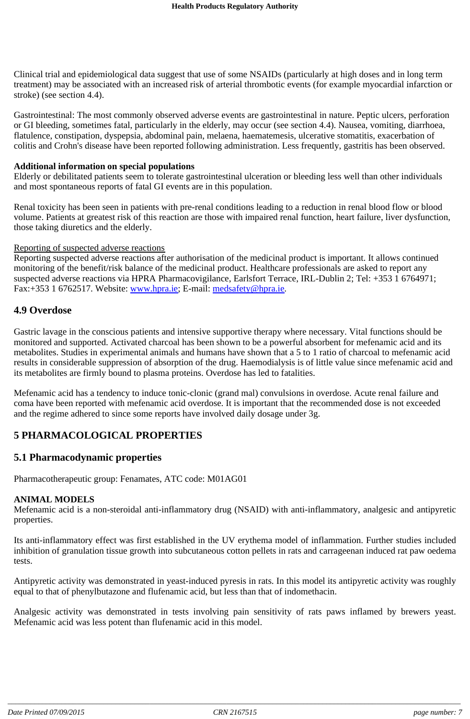Clinical trial and epidemiological data suggest that use of some NSAIDs (particularly at high doses and in long term treatment) may be associated with an increased risk of arterial thrombotic events (for example myocardial infarction or stroke) (see section 4.4).

Gastrointestinal: The most commonly observed adverse events are gastrointestinal in nature. Peptic ulcers, perforation or GI bleeding, sometimes fatal, particularly in the elderly, may occur (see section 4.4). Nausea, vomiting, diarrhoea, flatulence, constipation, dyspepsia, abdominal pain, melaena, haematemesis, ulcerative stomatitis, exacerbation of colitis and Crohn's disease have been reported following administration. Less frequently, gastritis has been observed.

#### **Additional information on special populations**

Elderly or debilitated patients seem to tolerate gastrointestinal ulceration or bleeding less well than other individuals and most spontaneous reports of fatal GI events are in this population.

Renal toxicity has been seen in patients with pre-renal conditions leading to a reduction in renal blood flow or blood volume. Patients at greatest risk of this reaction are those with impaired renal function, heart failure, liver dysfunction, those taking diuretics and the elderly.

#### Reporting of suspected adverse reactions

Reporting suspected adverse reactions after authorisation of the medicinal product is important. It allows continued monitoring of the benefit/risk balance of the medicinal product. Healthcare professionals are asked to report any suspected adverse reactions via HPRA Pharmacovigilance, Earlsfort Terrace, IRL-Dublin 2; Tel: +353 1 6764971; Fax:+353 1 6762517. Website: www.hpra.ie; E-mail: medsafety@hpra.ie.

### **4.9 Overdose**

Gastric lavage in the conscious patients and intensive supportive therapy where necessary. Vital functions should be monitored and supported. Activated charcoal has been shown to be a powerful absorbent for mefenamic acid and its metabolites. Studies in experimental animals and humans have shown that a 5 to 1 ratio of charcoal to mefenamic acid results in considerable suppression of absorption of the drug. Haemodialysis is of little value since mefenamic acid and its metabolites are firmly bound to plasma proteins. Overdose has led to fatalities.

Mefenamic acid has a tendency to induce tonic-clonic (grand mal) convulsions in overdose. Acute renal failure and coma have been reported with mefenamic acid overdose. It is important that the recommended dose is not exceeded and the regime adhered to since some reports have involved daily dosage under 3g.

# **5 PHARMACOLOGICAL PROPERTIES**

### **5.1 Pharmacodynamic properties**

Pharmacotherapeutic group: Fenamates, ATC code: M01AG01

### **ANIMAL MODELS**

Mefenamic acid is a non-steroidal anti-inflammatory drug (NSAID) with anti-inflammatory, analgesic and antipyretic properties.

Its anti-inflammatory effect was first established in the UV erythema model of inflammation. Further studies included inhibition of granulation tissue growth into subcutaneous cotton pellets in rats and carrageenan induced rat paw oedema tests.

Antipyretic activity was demonstrated in yeast-induced pyresis in rats. In this model its antipyretic activity was roughly equal to that of phenylbutazone and flufenamic acid, but less than that of indomethacin.

Analgesic activity was demonstrated in tests involving pain sensitivity of rats paws inflamed by brewers yeast. Mefenamic acid was less potent than flufenamic acid in this model.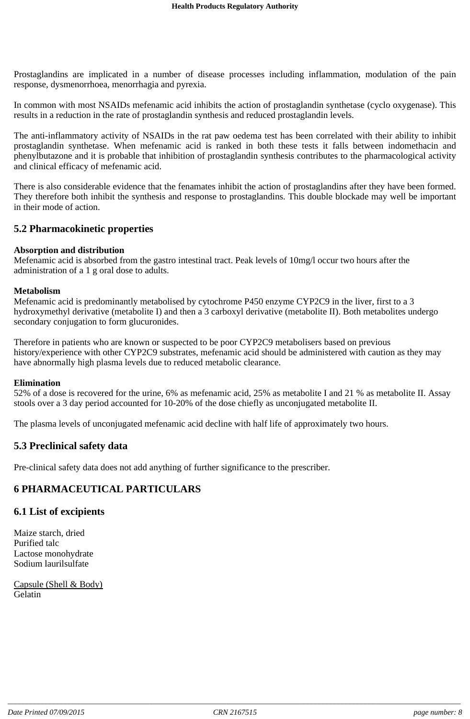Prostaglandins are implicated in a number of disease processes including inflammation, modulation of the pain response, dysmenorrhoea, menorrhagia and pyrexia.

In common with most NSAIDs mefenamic acid inhibits the action of prostaglandin synthetase (cyclo oxygenase). This results in a reduction in the rate of prostaglandin synthesis and reduced prostaglandin levels.

The anti-inflammatory activity of NSAIDs in the rat paw oedema test has been correlated with their ability to inhibit prostaglandin synthetase. When mefenamic acid is ranked in both these tests it falls between indomethacin and phenylbutazone and it is probable that inhibition of prostaglandin synthesis contributes to the pharmacological activity and clinical efficacy of mefenamic acid.

There is also considerable evidence that the fenamates inhibit the action of prostaglandins after they have been formed. They therefore both inhibit the synthesis and response to prostaglandins. This double blockade may well be important in their mode of action.

### **5.2 Pharmacokinetic properties**

### **Absorption and distribution**

Mefenamic acid is absorbed from the gastro intestinal tract. Peak levels of 10mg/l occur two hours after the administration of a 1 g oral dose to adults.

### **Metabolism**

Mefenamic acid is predominantly metabolised by cytochrome P450 enzyme CYP2C9 in the liver, first to a 3 hydroxymethyl derivative (metabolite I) and then a 3 carboxyl derivative (metabolite II). Both metabolites undergo secondary conjugation to form glucuronides.

Therefore in patients who are known or suspected to be poor CYP2C9 metabolisers based on previous history/experience with other CYP2C9 substrates, mefenamic acid should be administered with caution as they may have abnormally high plasma levels due to reduced metabolic clearance.

### **Elimination**

52% of a dose is recovered for the urine, 6% as mefenamic acid, 25% as metabolite I and 21 % as metabolite II. Assay stools over a 3 day period accounted for 10-20% of the dose chiefly as unconjugated metabolite II.

The plasma levels of unconjugated mefenamic acid decline with half life of approximately two hours.

### **5.3 Preclinical safety data**

Pre-clinical safety data does not add anything of further significance to the prescriber.

### **6 PHARMACEUTICAL PARTICULARS**

### **6.1 List of excipients**

Maize starch, dried Purified talc Lactose monohydrate Sodium laurilsulfate

Capsule (Shell & Body) Gelatin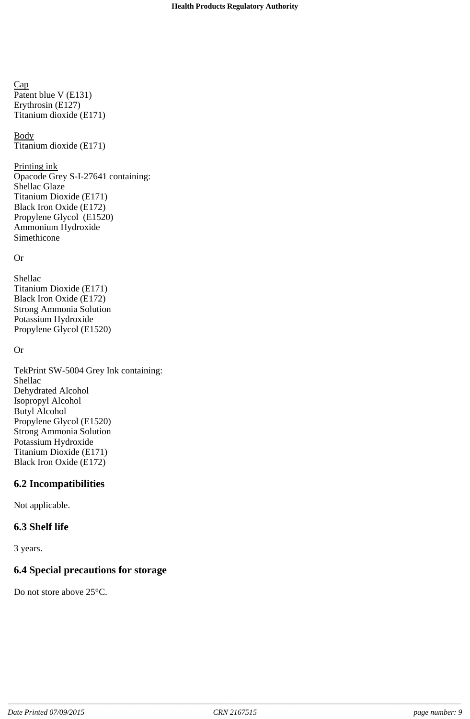Cap Patent blue V (E131) Erythrosin (E127) Titanium dioxide (E171)

**Body** Titanium dioxide (E171)

#### Printing ink

Opacode Grey S-I-27641 containing: Shellac Glaze Titanium Dioxide (E171) Black Iron Oxide (E172) Propylene Glycol (E1520) Ammonium Hydroxide Simethicone

### Or

Shellac Titanium Dioxide (E171) Black Iron Oxide (E172) Strong Ammonia Solution Potassium Hydroxide Propylene Glycol (E1520)

### Or

TekPrint SW-5004 Grey Ink containing: Shellac Dehydrated Alcohol Isopropyl Alcohol Butyl Alcohol Propylene Glycol (E1520) Strong Ammonia Solution Potassium Hydroxide Titanium Dioxide (E171) Black Iron Oxide (E172)

# **6.2 Incompatibilities**

Not applicable.

# **6.3 Shelf life**

3 years.

# **6.4 Special precautions for storage**

Do not store above 25°C.